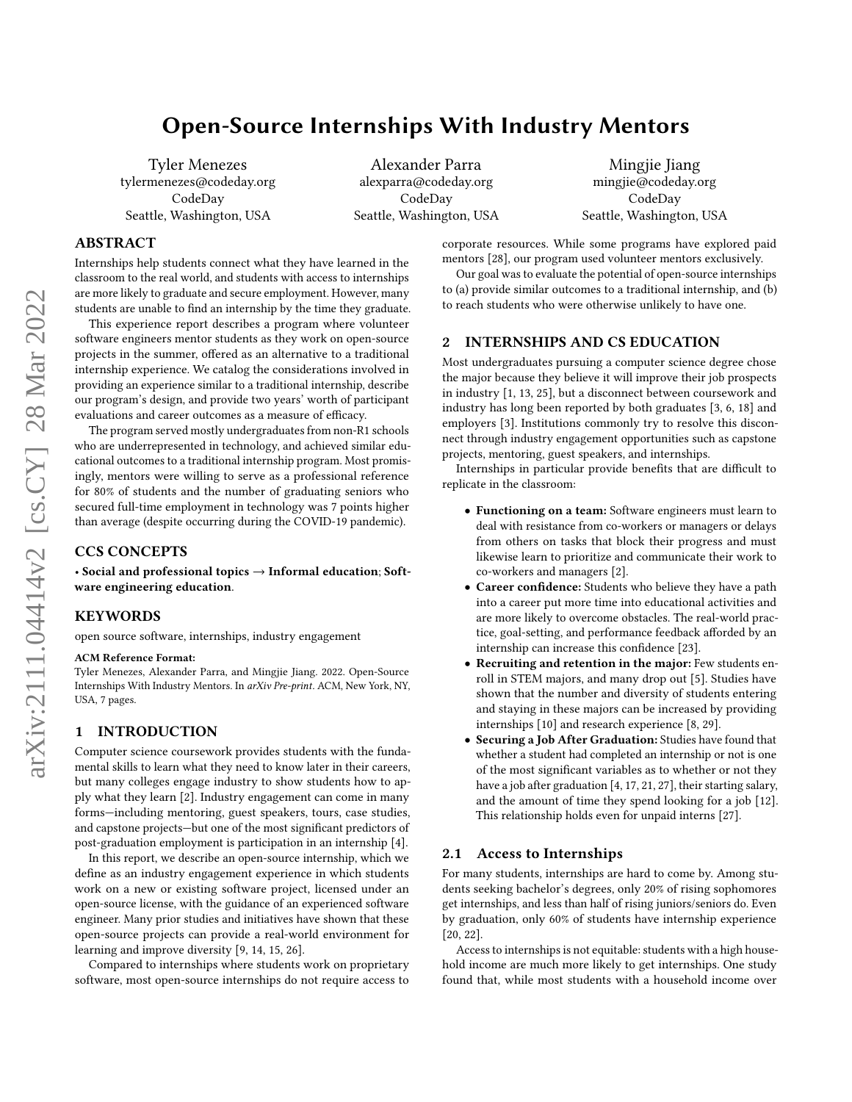# <span id="page-0-0"></span>Open-Source Internships With Industry Mentors

Tyler Menezes tylermenezes@codeday.org CodeDay Seattle, Washington, USA

Alexander Parra alexparra@codeday.org CodeDay Seattle, Washington, USA

Mingjie Jiang mingjie@codeday.org CodeDay Seattle, Washington, USA

# ABSTRACT

Internships help students connect what they have learned in the classroom to the real world, and students with access to internships are more likely to graduate and secure employment. However, many students are unable to find an internship by the time they graduate.

This experience report describes a program where volunteer software engineers mentor students as they work on open-source projects in the summer, offered as an alternative to a traditional internship experience. We catalog the considerations involved in providing an experience similar to a traditional internship, describe our program's design, and provide two years' worth of participant evaluations and career outcomes as a measure of efficacy.

The program served mostly undergraduates from non-R1 schools who are underrepresented in technology, and achieved similar educational outcomes to a traditional internship program. Most promisingly, mentors were willing to serve as a professional reference for 80% of students and the number of graduating seniors who secured full-time employment in technology was 7 points higher than average (despite occurring during the COVID-19 pandemic).

## CCS CONCEPTS

• Social and professional topics → Informal education; Software engineering education.

# **KEYWORDS**

open source software, internships, industry engagement

#### ACM Reference Format:

Tyler Menezes, Alexander Parra, and Mingjie Jiang. 2022. Open-Source Internships With Industry Mentors. In arXiv Pre-print. ACM, New York, NY, USA, [7](#page-6-0) pages.

## 1 INTRODUCTION

Computer science coursework provides students with the fundamental skills to learn what they need to know later in their careers, but many colleges engage industry to show students how to apply what they learn [\[2\]](#page-6-1). Industry engagement can come in many forms—including mentoring, guest speakers, tours, case studies, and capstone projects—but one of the most significant predictors of post-graduation employment is participation in an internship [\[4\]](#page-6-2).

In this report, we describe an open-source internship, which we define as an industry engagement experience in which students work on a new or existing software project, licensed under an open-source license, with the guidance of an experienced software engineer. Many prior studies and initiatives have shown that these open-source projects can provide a real-world environment for learning and improve diversity [\[9,](#page-6-3) [14,](#page-6-4) [15,](#page-6-5) [26\]](#page-6-6).

Compared to internships where students work on proprietary software, most open-source internships do not require access to corporate resources. While some programs have explored paid mentors [\[28\]](#page-6-7), our program used volunteer mentors exclusively.

Our goal was to evaluate the potential of open-source internships to (a) provide similar outcomes to a traditional internship, and (b) to reach students who were otherwise unlikely to have one.

# 2 INTERNSHIPS AND CS EDUCATION

Most undergraduates pursuing a computer science degree chose the major because they believe it will improve their job prospects in industry [\[1,](#page-5-0) [13,](#page-6-8) [25\]](#page-6-9), but a disconnect between coursework and industry has long been reported by both graduates [\[3,](#page-6-10) [6,](#page-6-11) [18\]](#page-6-12) and employers [\[3\]](#page-6-10). Institutions commonly try to resolve this disconnect through industry engagement opportunities such as capstone projects, mentoring, guest speakers, and internships.

Internships in particular provide benefits that are difficult to replicate in the classroom:

- Functioning on a team: Software engineers must learn to deal with resistance from co-workers or managers or delays from others on tasks that block their progress and must likewise learn to prioritize and communicate their work to co-workers and managers [\[2\]](#page-6-1).
- Career confidence: Students who believe they have a path into a career put more time into educational activities and are more likely to overcome obstacles. The real-world practice, goal-setting, and performance feedback afforded by an internship can increase this confidence [\[23\]](#page-6-13).
- Recruiting and retention in the major: Few students enroll in STEM majors, and many drop out [\[5\]](#page-6-14). Studies have shown that the number and diversity of students entering and staying in these majors can be increased by providing internships [\[10\]](#page-6-15) and research experience [\[8,](#page-6-16) [29\]](#page-6-17).
- Securing a Job After Graduation: Studies have found that whether a student had completed an internship or not is one of the most significant variables as to whether or not they have a job after graduation [\[4,](#page-6-2) [17,](#page-6-18) [21,](#page-6-19) [27\]](#page-6-20), their starting salary, and the amount of time they spend looking for a job [\[12\]](#page-6-21). This relationship holds even for unpaid interns [\[27\]](#page-6-20).

#### 2.1 Access to Internships

For many students, internships are hard to come by. Among students seeking bachelor's degrees, only 20% of rising sophomores get internships, and less than half of rising juniors/seniors do. Even by graduation, only 60% of students have internship experience [\[20,](#page-6-22) [22\]](#page-6-23).

Access to internships is not equitable: students with a high household income are much more likely to get internships. One study found that, while most students with a household income over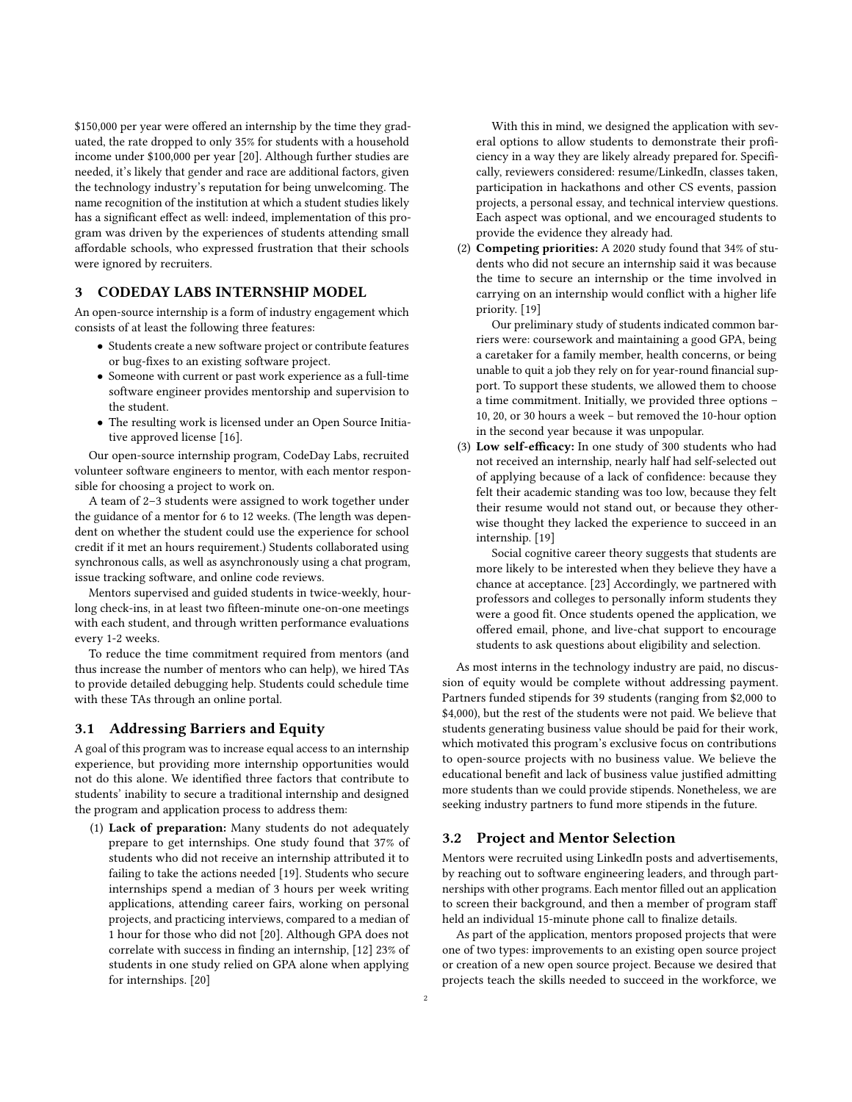\$150,000 per year were offered an internship by the time they graduated, the rate dropped to only 35% for students with a household income under \$100,000 per year [\[20\]](#page-6-22). Although further studies are needed, it's likely that gender and race are additional factors, given the technology industry's reputation for being unwelcoming. The name recognition of the institution at which a student studies likely has a significant effect as well: indeed, implementation of this program was driven by the experiences of students attending small affordable schools, who expressed frustration that their schools were ignored by recruiters.

## 3 CODEDAY LABS INTERNSHIP MODEL

An open-source internship is a form of industry engagement which consists of at least the following three features:

- Students create a new software project or contribute features or bug-fixes to an existing software project.
- Someone with current or past work experience as a full-time software engineer provides mentorship and supervision to the student.
- The resulting work is licensed under an Open Source Initiative approved license [\[16\]](#page-6-24).

Our open-source internship program, CodeDay Labs, recruited volunteer software engineers to mentor, with each mentor responsible for choosing a project to work on.

A team of 2–3 students were assigned to work together under the guidance of a mentor for 6 to 12 weeks. (The length was dependent on whether the student could use the experience for school credit if it met an hours requirement.) Students collaborated using synchronous calls, as well as asynchronously using a chat program, issue tracking software, and online code reviews.

Mentors supervised and guided students in twice-weekly, hourlong check-ins, in at least two fifteen-minute one-on-one meetings with each student, and through written performance evaluations every 1-2 weeks.

To reduce the time commitment required from mentors (and thus increase the number of mentors who can help), we hired TAs to provide detailed debugging help. Students could schedule time with these TAs through an online portal.

#### 3.1 Addressing Barriers and Equity

A goal of this program was to increase equal access to an internship experience, but providing more internship opportunities would not do this alone. We identified three factors that contribute to students' inability to secure a traditional internship and designed the program and application process to address them:

(1) Lack of preparation: Many students do not adequately prepare to get internships. One study found that 37% of students who did not receive an internship attributed it to failing to take the actions needed [\[19\]](#page-6-25). Students who secure internships spend a median of 3 hours per week writing applications, attending career fairs, working on personal projects, and practicing interviews, compared to a median of 1 hour for those who did not [\[20\]](#page-6-22). Although GPA does not correlate with success in finding an internship, [\[12\]](#page-6-21) 23% of students in one study relied on GPA alone when applying for internships. [\[20\]](#page-6-22)

With this in mind, we designed the application with several options to allow students to demonstrate their proficiency in a way they are likely already prepared for. Specifically, reviewers considered: resume/LinkedIn, classes taken, participation in hackathons and other CS events, passion projects, a personal essay, and technical interview questions. Each aspect was optional, and we encouraged students to provide the evidence they already had.

(2) Competing priorities: A 2020 study found that 34% of students who did not secure an internship said it was because the time to secure an internship or the time involved in carrying on an internship would conflict with a higher life priority. [\[19\]](#page-6-25)

Our preliminary study of students indicated common barriers were: coursework and maintaining a good GPA, being a caretaker for a family member, health concerns, or being unable to quit a job they rely on for year-round financial support. To support these students, we allowed them to choose a time commitment. Initially, we provided three options – 10, 20, or 30 hours a week – but removed the 10-hour option in the second year because it was unpopular.

(3) Low self-efficacy: In one study of 300 students who had not received an internship, nearly half had self-selected out of applying because of a lack of confidence: because they felt their academic standing was too low, because they felt their resume would not stand out, or because they otherwise thought they lacked the experience to succeed in an internship. [\[19\]](#page-6-25)

Social cognitive career theory suggests that students are more likely to be interested when they believe they have a chance at acceptance. [\[23\]](#page-6-13) Accordingly, we partnered with professors and colleges to personally inform students they were a good fit. Once students opened the application, we offered email, phone, and live-chat support to encourage students to ask questions about eligibility and selection.

As most interns in the technology industry are paid, no discussion of equity would be complete without addressing payment. Partners funded stipends for 39 students (ranging from \$2,000 to \$4,000), but the rest of the students were not paid. We believe that students generating business value should be paid for their work, which motivated this program's exclusive focus on contributions to open-source projects with no business value. We believe the educational benefit and lack of business value justified admitting more students than we could provide stipends. Nonetheless, we are seeking industry partners to fund more stipends in the future.

## 3.2 Project and Mentor Selection

Mentors were recruited using LinkedIn posts and advertisements, by reaching out to software engineering leaders, and through partnerships with other programs. Each mentor filled out an application to screen their background, and then a member of program staff held an individual 15-minute phone call to finalize details.

As part of the application, mentors proposed projects that were one of two types: improvements to an existing open source project or creation of a new open source project. Because we desired that projects teach the skills needed to succeed in the workforce, we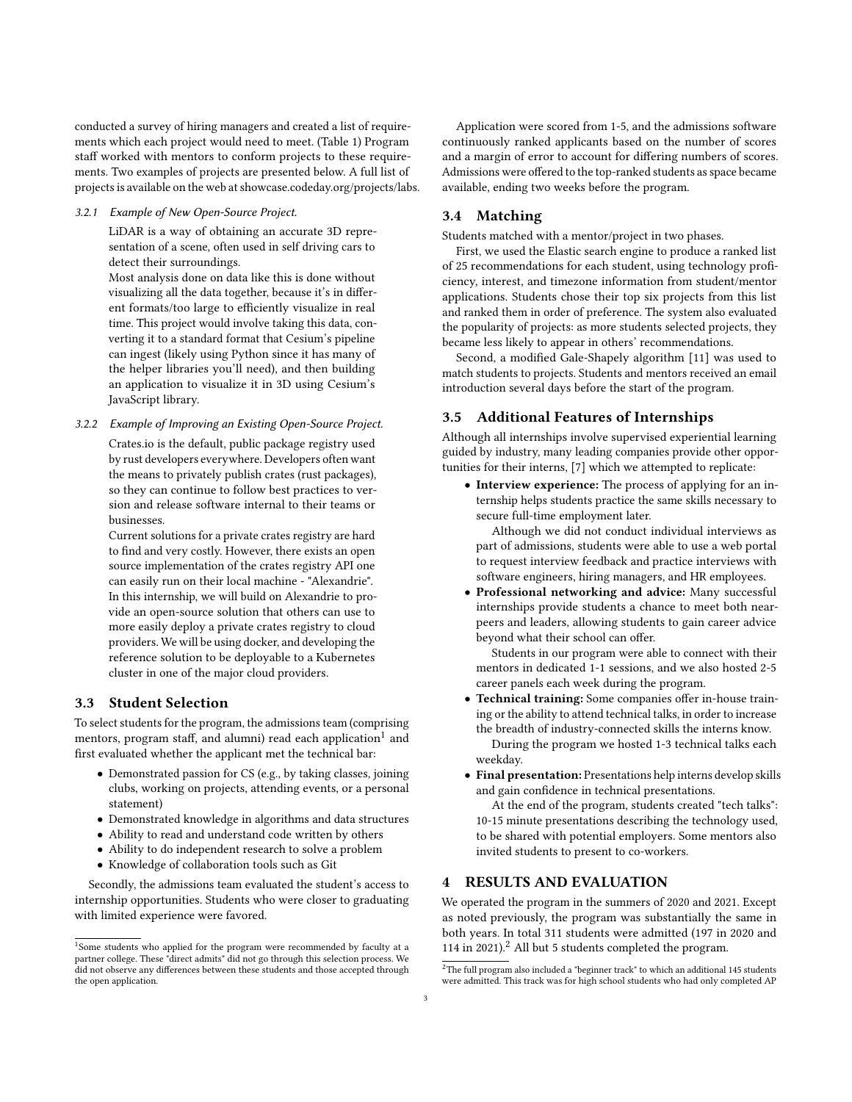conducted a survey of hiring managers and created a list of requirements which each project would need to meet. (Table [1\)](#page-3-0) Program staff worked with mentors to conform projects to these requirements. Two examples of projects are presented below. A full list of projects is available on the web at showcase.codeday.org/projects/labs.

#### 3.2.1 Example of New Open-Source Project.

LiDAR is a way of obtaining an accurate 3D representation of a scene, often used in self driving cars to detect their surroundings.

Most analysis done on data like this is done without visualizing all the data together, because it's in different formats/too large to efficiently visualize in real time. This project would involve taking this data, converting it to a standard format that Cesium's pipeline can ingest (likely using Python since it has many of the helper libraries you'll need), and then building an application to visualize it in 3D using Cesium's JavaScript library.

3.2.2 Example of Improving an Existing Open-Source Project.

Crates.io is the default, public package registry used by rust developers everywhere. Developers often want the means to privately publish crates (rust packages), so they can continue to follow best practices to version and release software internal to their teams or businesses.

Current solutions for a private crates registry are hard to find and very costly. However, there exists an open source implementation of the crates registry API one can easily run on their local machine - "Alexandrie". In this internship, we will build on Alexandrie to provide an open-source solution that others can use to more easily deploy a private crates registry to cloud providers. We will be using docker, and developing the reference solution to be deployable to a Kubernetes cluster in one of the major cloud providers.

# 3.3 Student Selection

To select students for the program, the admissions team (comprising mentors, program staff, and alumni) read each application $^1$  $^1$  and first evaluated whether the applicant met the technical bar:

- Demonstrated passion for CS (e.g., by taking classes, joining clubs, working on projects, attending events, or a personal statement)
- Demonstrated knowledge in algorithms and data structures
- Ability to read and understand code written by others
- Ability to do independent research to solve a problem
- Knowledge of collaboration tools such as Git

Secondly, the admissions team evaluated the student's access to internship opportunities. Students who were closer to graduating with limited experience were favored.

Application were scored from 1-5, and the admissions software continuously ranked applicants based on the number of scores and a margin of error to account for differing numbers of scores. Admissions were offered to the top-ranked students as space became available, ending two weeks before the program.

# 3.4 Matching

Students matched with a mentor/project in two phases.

First, we used the Elastic search engine to produce a ranked list of 25 recommendations for each student, using technology proficiency, interest, and timezone information from student/mentor applications. Students chose their top six projects from this list and ranked them in order of preference. The system also evaluated the popularity of projects: as more students selected projects, they became less likely to appear in others' recommendations.

Second, a modified Gale-Shapely algorithm [\[11\]](#page-6-26) was used to match students to projects. Students and mentors received an email introduction several days before the start of the program.

#### 3.5 Additional Features of Internships

Although all internships involve supervised experiential learning guided by industry, many leading companies provide other opportunities for their interns, [\[7\]](#page-6-27) which we attempted to replicate:

• Interview experience: The process of applying for an internship helps students practice the same skills necessary to secure full-time employment later.

Although we did not conduct individual interviews as part of admissions, students were able to use a web portal to request interview feedback and practice interviews with software engineers, hiring managers, and HR employees.

• Professional networking and advice: Many successful internships provide students a chance to meet both nearpeers and leaders, allowing students to gain career advice beyond what their school can offer.

Students in our program were able to connect with their mentors in dedicated 1-1 sessions, and we also hosted 2-5 career panels each week during the program.

• Technical training: Some companies offer in-house training or the ability to attend technical talks, in order to increase the breadth of industry-connected skills the interns know.

During the program we hosted 1-3 technical talks each weekday.

• Final presentation: Presentations help interns develop skills and gain confidence in technical presentations.

At the end of the program, students created "tech talks": 10-15 minute presentations describing the technology used, to be shared with potential employers. Some mentors also invited students to present to co-workers.

# **RESULTS AND EVALUATION**

We operated the program in the summers of 2020 and 2021. Except as noted previously, the program was substantially the same in both years. In total 311 students were admitted (197 in 2020 and 114 in  $2021$  $2021$ ).<sup>2</sup> All but 5 students completed the program.

<span id="page-2-0"></span><sup>&</sup>lt;sup>1</sup>Some students who applied for the program were recommended by faculty at a partner college. These "direct admits" did not go through this selection process. We did not observe any differences between these students and those accepted through the open application.

<span id="page-2-1"></span> $^{2}$  The full program also included a "beginner track" to which an additional 145 students were admitted. This track was for high school students who had only completed AP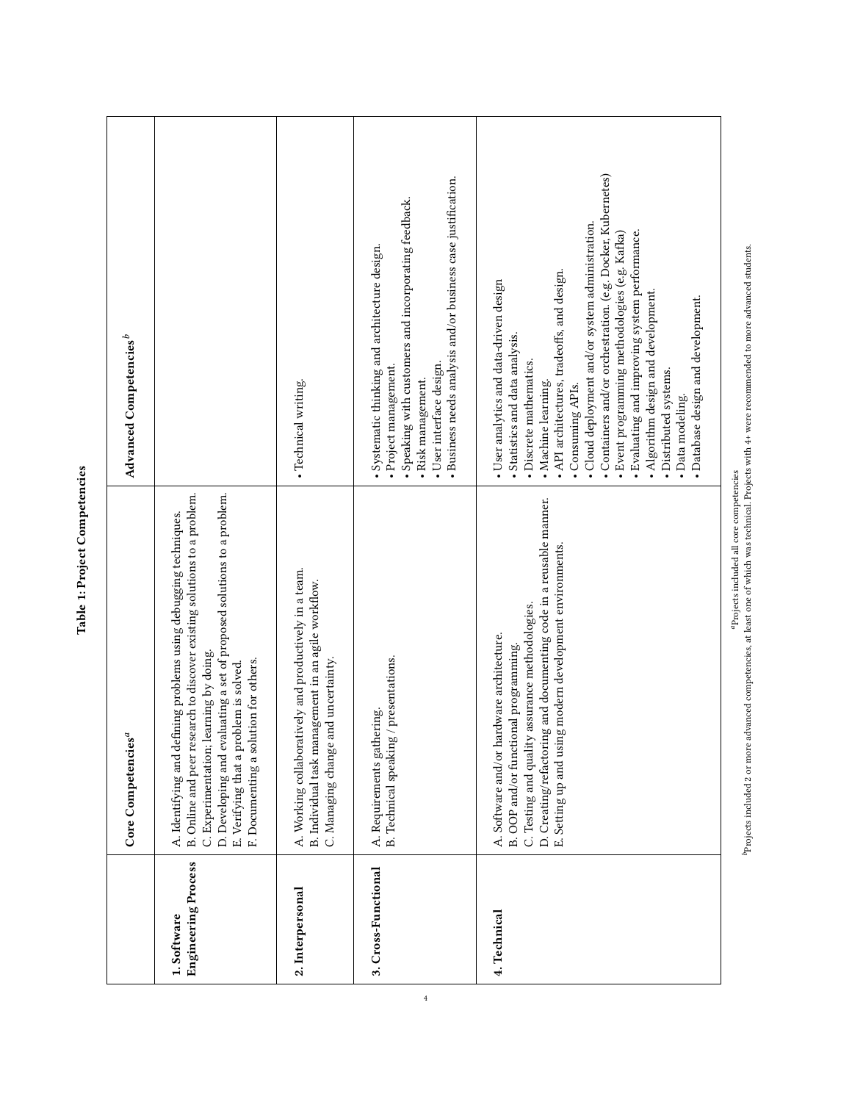<span id="page-3-0"></span>

| Advanced Competencies <sup>b</sup> |                                                                                                                                                                                                                                                                                                                                                     | · Technical writing.                                                                                                                                 | · Business needs analysis and/or business case justification.<br>· Speaking with customers and incorporating feedback.<br>· Systematic thinking and architecture design.<br>· User interface design.<br>· Project management.<br>· Risk management. | • Containers and/or orchestration. (e.g. Docker, Kubernetes)<br>· Cloud deployment and/or system administration.<br>. Evaluating and improving system performance.<br>$\bullet$ Event programming methodologies (e.g. Kafka)<br>. API architectures, tradeoffs, and design.<br>· User analytics and data-driven design<br>• Algorithm design and development.<br>· Database design and development.<br>Statistics and data analysis.<br>· Discrete mathematics.<br>· Distributed systems.<br>• Machine learning.<br>• Consuming APIs.<br>· Data modeling. |
|------------------------------------|-----------------------------------------------------------------------------------------------------------------------------------------------------------------------------------------------------------------------------------------------------------------------------------------------------------------------------------------------------|------------------------------------------------------------------------------------------------------------------------------------------------------|-----------------------------------------------------------------------------------------------------------------------------------------------------------------------------------------------------------------------------------------------------|-----------------------------------------------------------------------------------------------------------------------------------------------------------------------------------------------------------------------------------------------------------------------------------------------------------------------------------------------------------------------------------------------------------------------------------------------------------------------------------------------------------------------------------------------------------|
| Core Competencies <sup>a</sup>     | D. Developing and evaluating a set of proposed solutions to a problem.<br>B. Online and peer research to discover existing solutions to a problem.<br>A. Identifying and defining problems using debugging techniques.<br>C. Experimentation; learning by doing.<br>F. Documenting a solution for others.<br>E. Verifying that a problem is solved. | A. Working collaboratively and productively in a team.<br>B. Individual task management in an agile workflow.<br>C. Managing change and uncertainty. | B. Technical speaking / presentations.<br>A. Requirements gathering.                                                                                                                                                                                | D. Creating/refactoring and documenting code in a reusable manner.<br>E. Setting up and using modern development environments.<br>C. Testing and quality assurance methodologies.<br>A. Software and/or hardware architecture.<br>B. OOP and/or functional programming.                                                                                                                                                                                                                                                                                   |
|                                    | <b>Engineering Process</b><br>1. Software                                                                                                                                                                                                                                                                                                           | 2. Interpersonal                                                                                                                                     | 3. Cross-Functional                                                                                                                                                                                                                                 | 4. Technical                                                                                                                                                                                                                                                                                                                                                                                                                                                                                                                                              |

Table 1: Project Competencies Table 1: Project Competencies  ${}^{\textrm{o}}$ Projects included 2 or more advanced competencies, at least one of which was technical. Projects with 4+ were recommended to more advanced students. Projects included 2 or more advanced competencies, at least one of which was technical. Projects with 4+ were recommended to more advanced students. aProjects included all core competencies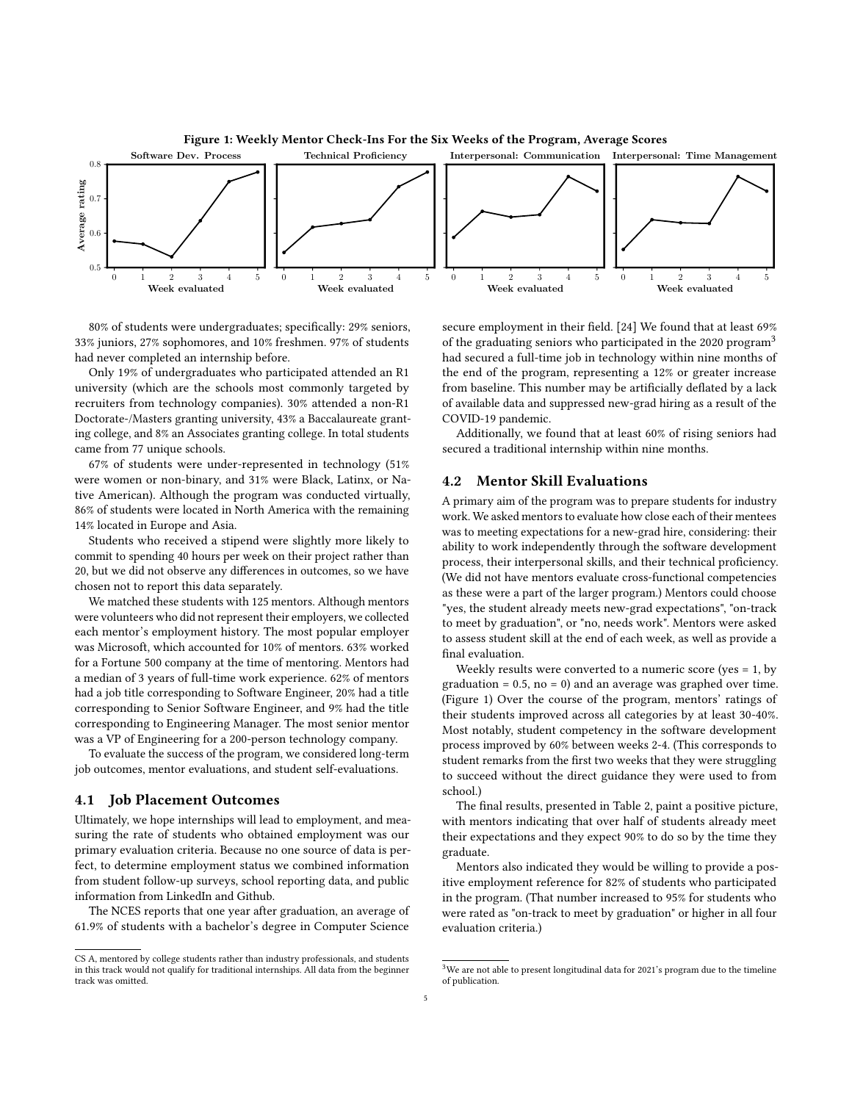<span id="page-4-1"></span>

80% of students were undergraduates; specifically: 29% seniors, 33% juniors, 27% sophomores, and 10% freshmen. 97% of students had never completed an internship before.

Only 19% of undergraduates who participated attended an R1 university (which are the schools most commonly targeted by recruiters from technology companies). 30% attended a non-R1 Doctorate-/Masters granting university, 43% a Baccalaureate granting college, and 8% an Associates granting college. In total students came from 77 unique schools.

67% of students were under-represented in technology (51% were women or non-binary, and 31% were Black, Latinx, or Native American). Although the program was conducted virtually, 86% of students were located in North America with the remaining 14% located in Europe and Asia.

Students who received a stipend were slightly more likely to commit to spending 40 hours per week on their project rather than 20, but we did not observe any differences in outcomes, so we have chosen not to report this data separately.

We matched these students with 125 mentors. Although mentors were volunteers who did not represent their employers, we collected each mentor's employment history. The most popular employer was Microsoft, which accounted for 10% of mentors. 63% worked for a Fortune 500 company at the time of mentoring. Mentors had a median of 3 years of full-time work experience. 62% of mentors had a job title corresponding to Software Engineer, 20% had a title corresponding to Senior Software Engineer, and 9% had the title corresponding to Engineering Manager. The most senior mentor was a VP of Engineering for a 200-person technology company.

To evaluate the success of the program, we considered long-term job outcomes, mentor evaluations, and student self-evaluations.

#### 4.1 Job Placement Outcomes

Ultimately, we hope internships will lead to employment, and measuring the rate of students who obtained employment was our primary evaluation criteria. Because no one source of data is perfect, to determine employment status we combined information from student follow-up surveys, school reporting data, and public information from LinkedIn and Github.

The NCES reports that one year after graduation, an average of 61.9% of students with a bachelor's degree in Computer Science

CS A, mentored by college students rather than industry professionals, and students in this track would not qualify for traditional internships. All data from the beginner track was omitted.

secure employment in their field. [\[24\]](#page-6-28) We found that at least 69% of the graduating seniors who participated in the 2020 program<sup>[3](#page-4-0)</sup> had secured a full-time job in technology within nine months of the end of the program, representing a 12% or greater increase from baseline. This number may be artificially deflated by a lack of available data and suppressed new-grad hiring as a result of the COVID-19 pandemic.

Additionally, we found that at least 60% of rising seniors had secured a traditional internship within nine months.

# 4.2 Mentor Skill Evaluations

A primary aim of the program was to prepare students for industry work. We asked mentors to evaluate how close each of their mentees was to meeting expectations for a new-grad hire, considering: their ability to work independently through the software development process, their interpersonal skills, and their technical proficiency. (We did not have mentors evaluate cross-functional competencies as these were a part of the larger program.) Mentors could choose "yes, the student already meets new-grad expectations", "on-track to meet by graduation", or "no, needs work". Mentors were asked to assess student skill at the end of each week, as well as provide a final evaluation.

Weekly results were converted to a numeric score (yes = 1, by graduation =  $0.5$ , no =  $0$ ) and an average was graphed over time. (Figure [1\)](#page-4-1) Over the course of the program, mentors' ratings of their students improved across all categories by at least 30-40%. Most notably, student competency in the software development process improved by 60% between weeks 2-4. (This corresponds to student remarks from the first two weeks that they were struggling to succeed without the direct guidance they were used to from school.)

The final results, presented in Table [2,](#page-5-1) paint a positive picture, with mentors indicating that over half of students already meet their expectations and they expect 90% to do so by the time they graduate.

Mentors also indicated they would be willing to provide a positive employment reference for 82% of students who participated in the program. (That number increased to 95% for students who were rated as "on-track to meet by graduation" or higher in all four evaluation criteria.)

<span id="page-4-0"></span> $^3\rm{We}$  are not able to present longitudinal data for 2021's program due to the timeline of publication.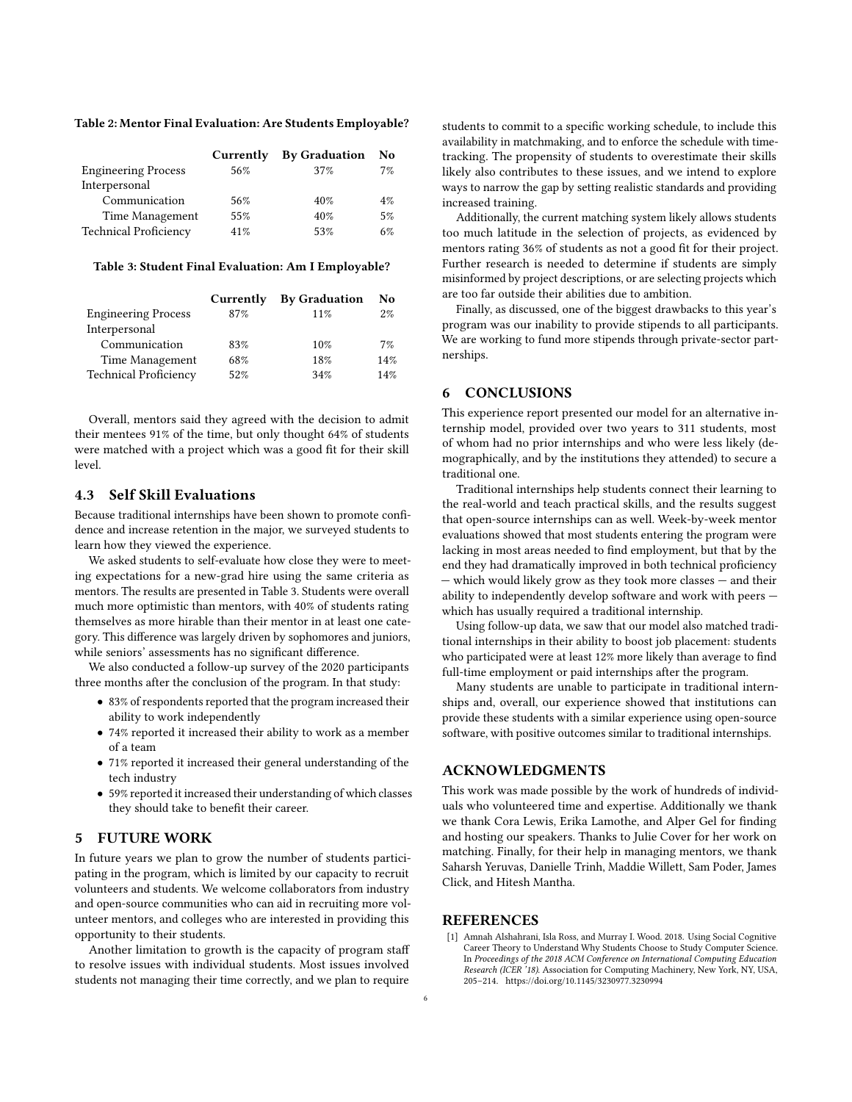#### <span id="page-5-1"></span>Table 2: Mentor Final Evaluation: Are Students Employable?

|                              | Currently | <b>By Graduation</b> | No    |
|------------------------------|-----------|----------------------|-------|
| <b>Engineering Process</b>   | 56%       | 37%                  | 7%    |
| Interpersonal                |           |                      |       |
| Communication                | 56%       | 40%                  | $4\%$ |
| Time Management              | 55%       | 40%                  | 5%    |
| <b>Technical Proficiency</b> | 41%       | 53%                  | 6%    |

#### <span id="page-5-2"></span>Table 3: Student Final Evaluation: Am I Employable?

|                              | Currently | <b>By Graduation</b> | No.   |
|------------------------------|-----------|----------------------|-------|
| <b>Engineering Process</b>   | 87%       | 11%                  | $2\%$ |
| Interpersonal                |           |                      |       |
| Communication                | 83%       | 10%                  | 7%    |
| Time Management              | 68%       | 18%                  | 14%   |
| <b>Technical Proficiency</b> | 52%       | 34%                  | 14%   |

Overall, mentors said they agreed with the decision to admit their mentees 91% of the time, but only thought 64% of students were matched with a project which was a good fit for their skill level.

### 4.3 Self Skill Evaluations

Because traditional internships have been shown to promote confidence and increase retention in the major, we surveyed students to learn how they viewed the experience.

We asked students to self-evaluate how close they were to meeting expectations for a new-grad hire using the same criteria as mentors. The results are presented in Table [3.](#page-5-2) Students were overall much more optimistic than mentors, with 40% of students rating themselves as more hirable than their mentor in at least one category. This difference was largely driven by sophomores and juniors, while seniors' assessments has no significant difference.

We also conducted a follow-up survey of the 2020 participants three months after the conclusion of the program. In that study:

- 83% of respondents reported that the program increased their ability to work independently
- 74% reported it increased their ability to work as a member of a team
- 71% reported it increased their general understanding of the tech industry
- 59% reported it increased their understanding of which classes they should take to benefit their career.

# 5 FUTURE WORK

In future years we plan to grow the number of students participating in the program, which is limited by our capacity to recruit volunteers and students. We welcome collaborators from industry and open-source communities who can aid in recruiting more volunteer mentors, and colleges who are interested in providing this opportunity to their students.

Another limitation to growth is the capacity of program staff to resolve issues with individual students. Most issues involved students not managing their time correctly, and we plan to require

students to commit to a specific working schedule, to include this availability in matchmaking, and to enforce the schedule with timetracking. The propensity of students to overestimate their skills likely also contributes to these issues, and we intend to explore ways to narrow the gap by setting realistic standards and providing increased training.

Additionally, the current matching system likely allows students too much latitude in the selection of projects, as evidenced by mentors rating 36% of students as not a good fit for their project. Further research is needed to determine if students are simply misinformed by project descriptions, or are selecting projects which are too far outside their abilities due to ambition.

Finally, as discussed, one of the biggest drawbacks to this year's program was our inability to provide stipends to all participants. We are working to fund more stipends through private-sector partnerships.

# 6 CONCLUSIONS

This experience report presented our model for an alternative internship model, provided over two years to 311 students, most of whom had no prior internships and who were less likely (demographically, and by the institutions they attended) to secure a traditional one.

Traditional internships help students connect their learning to the real-world and teach practical skills, and the results suggest that open-source internships can as well. Week-by-week mentor evaluations showed that most students entering the program were lacking in most areas needed to find employment, but that by the end they had dramatically improved in both technical proficiency — which would likely grow as they took more classes — and their ability to independently develop software and work with peers which has usually required a traditional internship.

Using follow-up data, we saw that our model also matched traditional internships in their ability to boost job placement: students who participated were at least 12% more likely than average to find full-time employment or paid internships after the program.

Many students are unable to participate in traditional internships and, overall, our experience showed that institutions can provide these students with a similar experience using open-source software, with positive outcomes similar to traditional internships.

### ACKNOWLEDGMENTS

This work was made possible by the work of hundreds of individuals who volunteered time and expertise. Additionally we thank we thank Cora Lewis, Erika Lamothe, and Alper Gel for finding and hosting our speakers. Thanks to Julie Cover for her work on matching. Finally, for their help in managing mentors, we thank Saharsh Yeruvas, Danielle Trinh, Maddie Willett, Sam Poder, James Click, and Hitesh Mantha.

# **REFERENCES**

<span id="page-5-0"></span>[1] Amnah Alshahrani, Isla Ross, and Murray I. Wood. 2018. Using Social Cognitive Career Theory to Understand Why Students Choose to Study Computer Science. In Proceedings of the 2018 ACM Conference on International Computing Education Research (ICER '18). Association for Computing Machinery, New York, NY, USA, 205–214.<https://doi.org/10.1145/3230977.3230994>